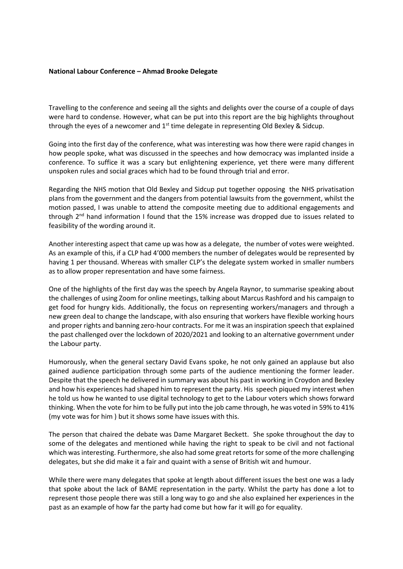## **National Labour Conference – Ahmad Brooke Delegate**

Travelling to the conference and seeing all the sights and delights over the course of a couple of days were hard to condense. However, what can be put into this report are the big highlights throughout through the eyes of a newcomer and  $1<sup>st</sup>$  time delegate in representing Old Bexley & Sidcup.

Going into the first day of the conference, what was interesting was how there were rapid changes in how people spoke, what was discussed in the speeches and how democracy was implanted inside a conference. To suffice it was a scary but enlightening experience, yet there were many different unspoken rules and social graces which had to be found through trial and error.

Regarding the NHS motion that Old Bexley and Sidcup put together opposing the NHS privatisation plans from the government and the dangers from potential lawsuits from the government, whilst the motion passed, I was unable to attend the composite meeting due to additional engagements and through 2<sup>nd</sup> hand information I found that the 15% increase was dropped due to issues related to feasibility of the wording around it.

Another interesting aspect that came up was how as a delegate, the number of votes were weighted. As an example of this, if a CLP had 4'000 members the number of delegates would be represented by having 1 per thousand. Whereas with smaller CLP's the delegate system worked in smaller numbers as to allow proper representation and have some fairness.

One of the highlights of the first day was the speech by Angela Raynor, to summarise speaking about the challenges of using Zoom for online meetings, talking about Marcus Rashford and his campaign to get food for hungry kids. Additionally, the focus on representing workers/managers and through a new green deal to change the landscape, with also ensuring that workers have flexible working hours and proper rights and banning zero-hour contracts. For me it was an inspiration speech that explained the past challenged over the lockdown of 2020/2021 and looking to an alternative government under the Labour party.

Humorously, when the general sectary David Evans spoke, he not only gained an applause but also gained audience participation through some parts of the audience mentioning the former leader. Despite that the speech he delivered in summary was about his past in working in Croydon and Bexley and how his experiences had shaped him to represent the party. His speech piqued my interest when he told us how he wanted to use digital technology to get to the Labour voters which shows forward thinking. When the vote for him to be fully put into the job came through, he was voted in 59% to 41% (my vote was for him ) but it shows some have issues with this.

The person that chaired the debate was Dame Margaret Beckett. She spoke throughout the day to some of the delegates and mentioned while having the right to speak to be civil and not factional which was interesting. Furthermore, she also had some great retorts for some of the more challenging delegates, but she did make it a fair and quaint with a sense of British wit and humour.

While there were many delegates that spoke at length about different issues the best one was a lady that spoke about the lack of BAME representation in the party. Whilst the party has done a lot to represent those people there was still a long way to go and she also explained her experiences in the past as an example of how far the party had come but how far it will go for equality.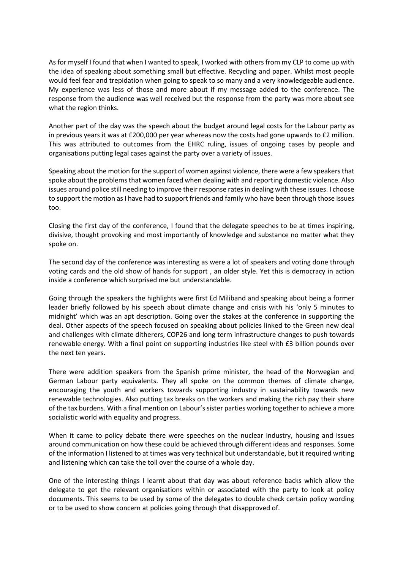As for myself I found that when I wanted to speak, I worked with others from my CLP to come up with the idea of speaking about something small but effective. Recycling and paper. Whilst most people would feel fear and trepidation when going to speak to so many and a very knowledgeable audience. My experience was less of those and more about if my message added to the conference. The response from the audience was well received but the response from the party was more about see what the region thinks.

Another part of the day was the speech about the budget around legal costs for the Labour party as in previous years it was at £200,000 per year whereas now the costs had gone upwards to £2 million. This was attributed to outcomes from the EHRC ruling, issues of ongoing cases by people and organisations putting legal cases against the party over a variety of issues.

Speaking about the motion for the support of women against violence, there were a few speakers that spoke about the problems that women faced when dealing with and reporting domestic violence. Also issues around police still needing to improve their response rates in dealing with these issues. I choose to support the motion as I have had to support friends and family who have been through those issues too.

Closing the first day of the conference, I found that the delegate speeches to be at times inspiring, divisive, thought provoking and most importantly of knowledge and substance no matter what they spoke on.

The second day of the conference was interesting as were a lot of speakers and voting done through voting cards and the old show of hands for support , an older style. Yet this is democracy in action inside a conference which surprised me but understandable.

Going through the speakers the highlights were first Ed Miliband and speaking about being a former leader briefly followed by his speech about climate change and crisis with his 'only 5 minutes to midnight' which was an apt description. Going over the stakes at the conference in supporting the deal. Other aspects of the speech focused on speaking about policies linked to the Green new deal and challenges with climate ditherers, COP26 and long term infrastructure changes to push towards renewable energy. With a final point on supporting industries like steel with £3 billion pounds over the next ten years.

There were addition speakers from the Spanish prime minister, the head of the Norwegian and German Labour party equivalents. They all spoke on the common themes of climate change, encouraging the youth and workers towards supporting industry in sustainability towards new renewable technologies. Also putting tax breaks on the workers and making the rich pay their share of the tax burdens. With a final mention on Labour's sister parties working together to achieve a more socialistic world with equality and progress.

When it came to policy debate there were speeches on the nuclear industry, housing and issues around communication on how these could be achieved through different ideas and responses. Some of the information I listened to at times was very technical but understandable, but it required writing and listening which can take the toll over the course of a whole day.

One of the interesting things I learnt about that day was about reference backs which allow the delegate to get the relevant organisations within or associated with the party to look at policy documents. This seems to be used by some of the delegates to double check certain policy wording or to be used to show concern at policies going through that disapproved of.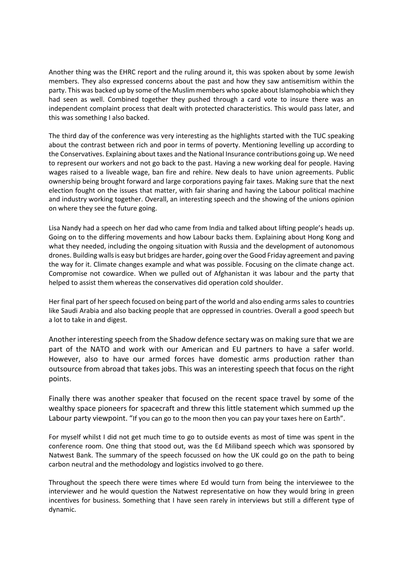Another thing was the EHRC report and the ruling around it, this was spoken about by some Jewish members. They also expressed concerns about the past and how they saw antisemitism within the party. This was backed up by some of the Muslim members who spoke about Islamophobia which they had seen as well. Combined together they pushed through a card vote to insure there was an independent complaint process that dealt with protected characteristics. This would pass later, and this was something I also backed.

The third day of the conference was very interesting as the highlights started with the TUC speaking about the contrast between rich and poor in terms of poverty. Mentioning levelling up according to the Conservatives. Explaining about taxes and the National Insurance contributions going up. We need to represent our workers and not go back to the past. Having a new working deal for people. Having wages raised to a liveable wage, ban fire and rehire. New deals to have union agreements. Public ownership being brought forward and large corporations paying fair taxes. Making sure that the next election fought on the issues that matter, with fair sharing and having the Labour political machine and industry working together. Overall, an interesting speech and the showing of the unions opinion on where they see the future going.

Lisa Nandy had a speech on her dad who came from India and talked about lifting people's heads up. Going on to the differing movements and how Labour backs them. Explaining about Hong Kong and what they needed, including the ongoing situation with Russia and the development of autonomous drones. Building walls is easy but bridges are harder, going over the Good Friday agreement and paving the way for it. Climate changes example and what was possible. Focusing on the climate change act. Compromise not cowardice. When we pulled out of Afghanistan it was labour and the party that helped to assist them whereas the conservatives did operation cold shoulder.

Her final part of her speech focused on being part of the world and also ending arms sales to countries like Saudi Arabia and also backing people that are oppressed in countries. Overall a good speech but a lot to take in and digest.

Another interesting speech from the Shadow defence sectary was on making sure that we are part of the NATO and work with our American and EU partners to have a safer world. However, also to have our armed forces have domestic arms production rather than outsource from abroad that takes jobs. This was an interesting speech that focus on the right points.

Finally there was another speaker that focused on the recent space travel by some of the wealthy space pioneers for spacecraft and threw this little statement which summed up the Labour party viewpoint. "If you can go to the moon then you can pay your taxes here on Earth".

For myself whilst I did not get much time to go to outside events as most of time was spent in the conference room. One thing that stood out, was the Ed Miliband speech which was sponsored by Natwest Bank. The summary of the speech focussed on how the UK could go on the path to being carbon neutral and the methodology and logistics involved to go there.

Throughout the speech there were times where Ed would turn from being the interviewee to the interviewer and he would question the Natwest representative on how they would bring in green incentives for business. Something that I have seen rarely in interviews but still a different type of dynamic.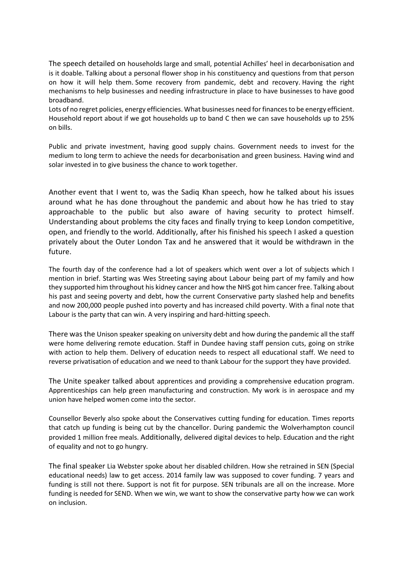The speech detailed on households large and small, potential Achilles' heel in decarbonisation and is it doable. Talking about a personal flower shop in his constituency and questions from that person on how it will help them. Some recovery from pandemic, debt and recovery. Having the right mechanisms to help businesses and needing infrastructure in place to have businesses to have good broadband.

Lots of no regret policies, energy efficiencies. What businesses need for finances to be energy efficient. Household report about if we got households up to band C then we can save households up to 25% on bills.

Public and private investment, having good supply chains. Government needs to invest for the medium to long term to achieve the needs for decarbonisation and green business. Having wind and solar invested in to give business the chance to work together.

Another event that I went to, was the Sadiq Khan speech, how he talked about his issues around what he has done throughout the pandemic and about how he has tried to stay approachable to the public but also aware of having security to protect himself. Understanding about problems the city faces and finally trying to keep London competitive, open, and friendly to the world. Additionally, after his finished his speech I asked a question privately about the Outer London Tax and he answered that it would be withdrawn in the future.

The fourth day of the conference had a lot of speakers which went over a lot of subjects which I mention in brief. Starting was Wes Streeting saying about Labour being part of my family and how they supported him throughout his kidney cancer and how the NHS got him cancer free. Talking about his past and seeing poverty and debt, how the current Conservative party slashed help and benefits and now 200,000 people pushed into poverty and has increased child poverty. With a final note that Labour is the party that can win. A very inspiring and hard-hitting speech.

There was the Unison speaker speaking on university debt and how during the pandemic all the staff were home delivering remote education. Staff in Dundee having staff pension cuts, going on strike with action to help them. Delivery of education needs to respect all educational staff. We need to reverse privatisation of education and we need to thank Labour for the support they have provided.

The Unite speaker talked about apprentices and providing a comprehensive education program. Apprenticeships can help green manufacturing and construction. My work is in aerospace and my union have helped women come into the sector.

Counsellor Beverly also spoke about the Conservatives cutting funding for education. Times reports that catch up funding is being cut by the chancellor. During pandemic the Wolverhampton council provided 1 million free meals. Additionally, delivered digital devices to help. Education and the right of equality and not to go hungry.

The final speaker Lia Webster spoke about her disabled children. How she retrained in SEN (Special educational needs) law to get access. 2014 family law was supposed to cover funding. 7 years and funding is still not there. Support is not fit for purpose. SEN tribunals are all on the increase. More funding is needed for SEND. When we win, we want to show the conservative party how we can work on inclusion.